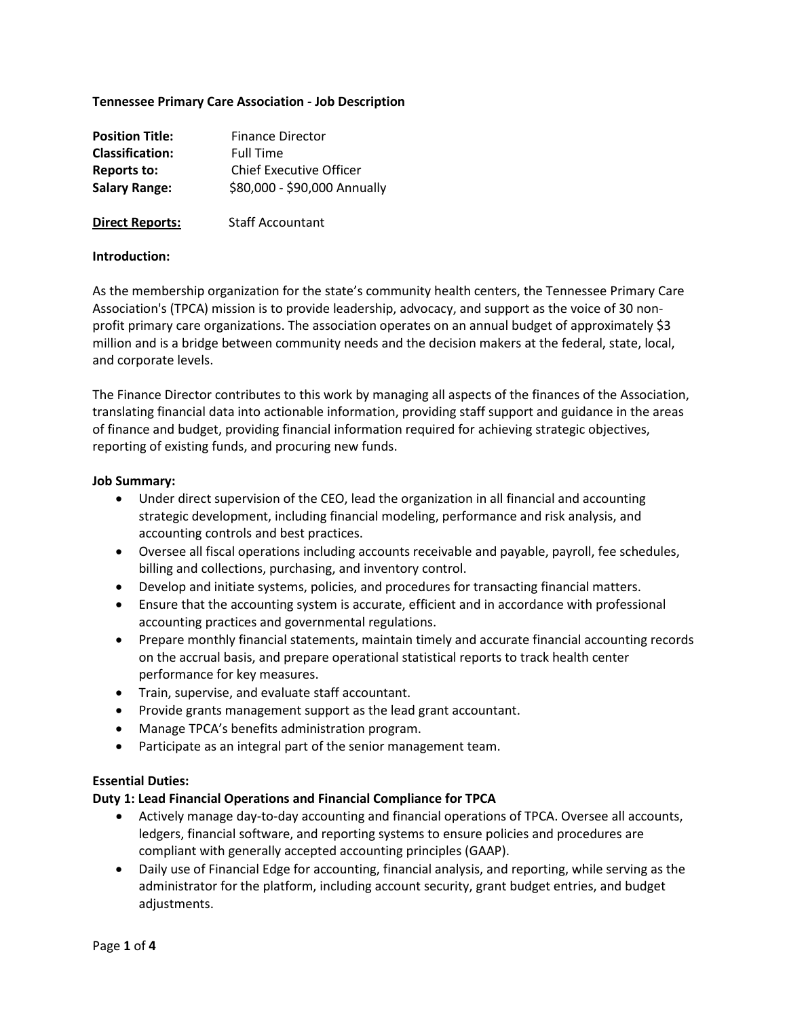### **Tennessee Primary Care Association - Job Description**

| <b>Position Title:</b> | <b>Finance Director</b>        |
|------------------------|--------------------------------|
| <b>Classification:</b> | <b>Full Time</b>               |
| Reports to:            | <b>Chief Executive Officer</b> |
| <b>Salary Range:</b>   | \$80,000 - \$90,000 Annually   |
|                        |                                |
| <b>Direct Reports:</b> | <b>Staff Accountant</b>        |

# **Introduction:**

As the membership organization for the state's community health centers, the Tennessee Primary Care Association's (TPCA) mission is to provide leadership, advocacy, and support as the voice of 30 nonprofit primary care organizations. The association operates on an annual budget of approximately \$3 million and is a bridge between community needs and the decision makers at the federal, state, local, and corporate levels.

The Finance Director contributes to this work by managing all aspects of the finances of the Association, translating financial data into actionable information, providing staff support and guidance in the areas of finance and budget, providing financial information required for achieving strategic objectives, reporting of existing funds, and procuring new funds.

#### **Job Summary:**

- Under direct supervision of the CEO, lead the organization in all financial and accounting strategic development, including financial modeling, performance and risk analysis, and accounting controls and best practices.
- Oversee all fiscal operations including accounts receivable and payable, payroll, fee schedules, billing and collections, purchasing, and inventory control.
- Develop and initiate systems, policies, and procedures for transacting financial matters.
- Ensure that the accounting system is accurate, efficient and in accordance with professional accounting practices and governmental regulations.
- Prepare monthly financial statements, maintain timely and accurate financial accounting records on the accrual basis, and prepare operational statistical reports to track health center performance for key measures.
- Train, supervise, and evaluate staff accountant.
- Provide grants management support as the lead grant accountant.
- Manage TPCA's benefits administration program.
- Participate as an integral part of the senior management team.

#### **Essential Duties:**

#### **Duty 1: Lead Financial Operations and Financial Compliance for TPCA**

- Actively manage day-to-day accounting and financial operations of TPCA. Oversee all accounts, ledgers, financial software, and reporting systems to ensure policies and procedures are compliant with generally accepted accounting principles (GAAP).
- Daily use of Financial Edge for accounting, financial analysis, and reporting, while serving as the administrator for the platform, including account security, grant budget entries, and budget adjustments.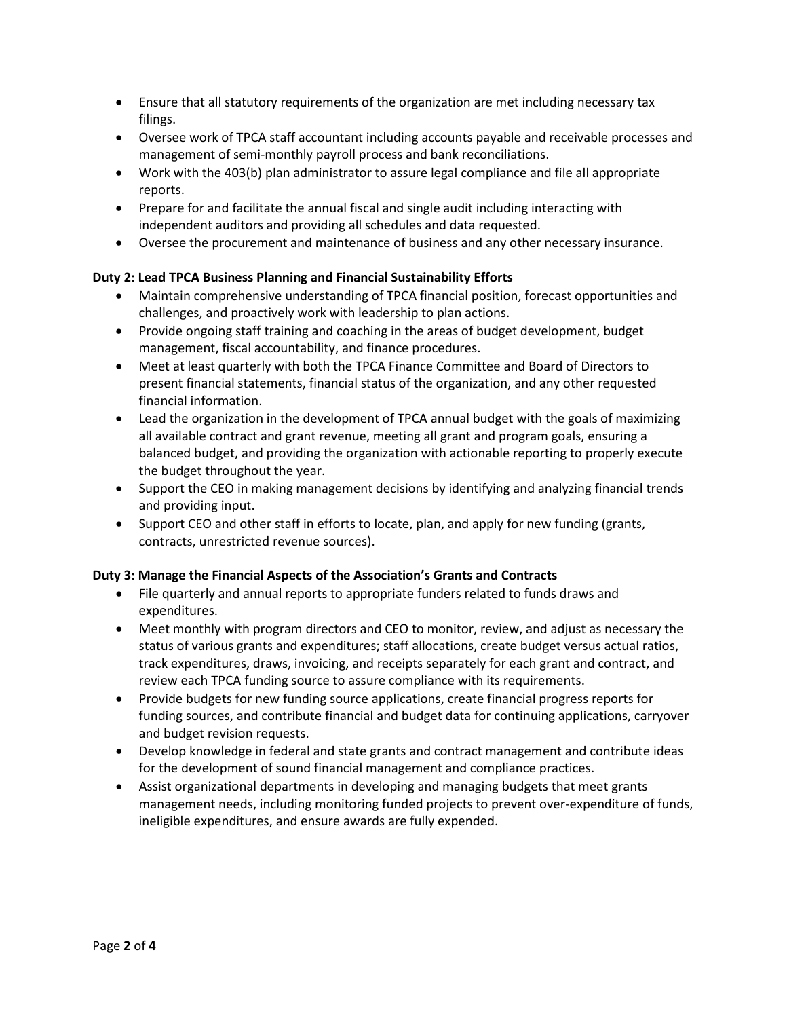- Ensure that all statutory requirements of the organization are met including necessary tax filings.
- Oversee work of TPCA staff accountant including accounts payable and receivable processes and management of semi-monthly payroll process and bank reconciliations.
- Work with the 403(b) plan administrator to assure legal compliance and file all appropriate reports.
- Prepare for and facilitate the annual fiscal and single audit including interacting with independent auditors and providing all schedules and data requested.
- Oversee the procurement and maintenance of business and any other necessary insurance.

# **Duty 2: Lead TPCA Business Planning and Financial Sustainability Efforts**

- Maintain comprehensive understanding of TPCA financial position, forecast opportunities and challenges, and proactively work with leadership to plan actions.
- Provide ongoing staff training and coaching in the areas of budget development, budget management, fiscal accountability, and finance procedures.
- Meet at least quarterly with both the TPCA Finance Committee and Board of Directors to present financial statements, financial status of the organization, and any other requested financial information.
- Lead the organization in the development of TPCA annual budget with the goals of maximizing all available contract and grant revenue, meeting all grant and program goals, ensuring a balanced budget, and providing the organization with actionable reporting to properly execute the budget throughout the year.
- Support the CEO in making management decisions by identifying and analyzing financial trends and providing input.
- Support CEO and other staff in efforts to locate, plan, and apply for new funding (grants, contracts, unrestricted revenue sources).

## **Duty 3: Manage the Financial Aspects of the Association's Grants and Contracts**

- File quarterly and annual reports to appropriate funders related to funds draws and expenditures.
- Meet monthly with program directors and CEO to monitor, review, and adjust as necessary the status of various grants and expenditures; staff allocations, create budget versus actual ratios, track expenditures, draws, invoicing, and receipts separately for each grant and contract, and review each TPCA funding source to assure compliance with its requirements.
- Provide budgets for new funding source applications, create financial progress reports for funding sources, and contribute financial and budget data for continuing applications, carryover and budget revision requests.
- Develop knowledge in federal and state grants and contract management and contribute ideas for the development of sound financial management and compliance practices.
- Assist organizational departments in developing and managing budgets that meet grants management needs, including monitoring funded projects to prevent over-expenditure of funds, ineligible expenditures, and ensure awards are fully expended.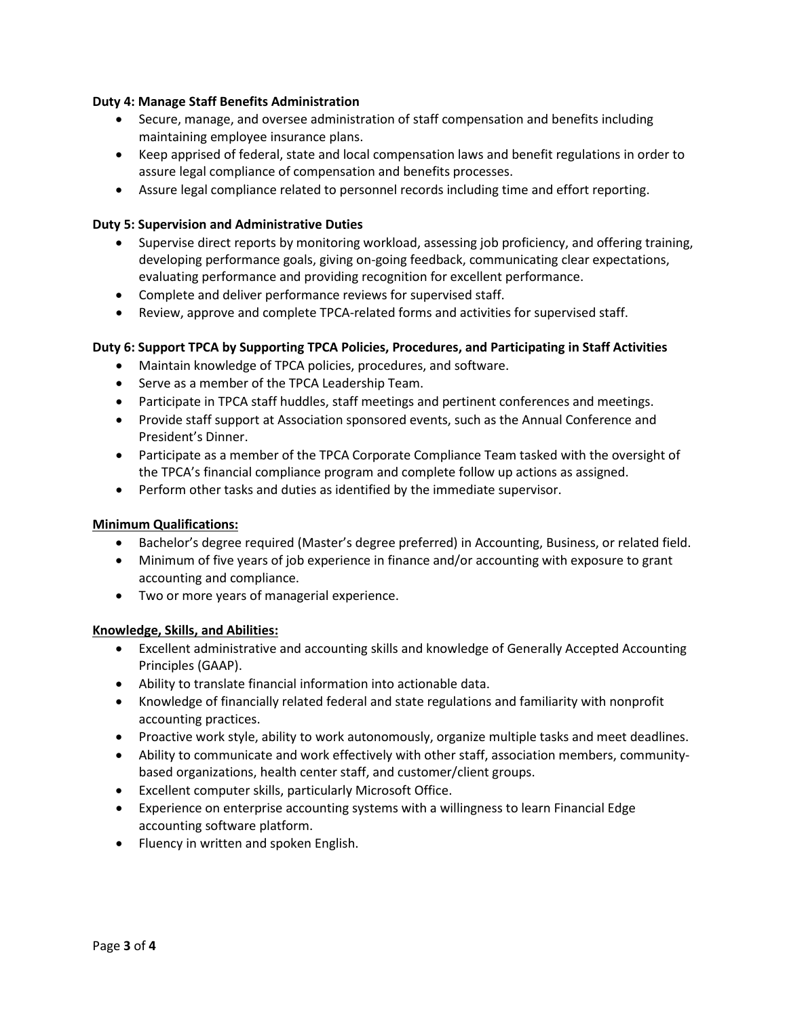## **Duty 4: Manage Staff Benefits Administration**

- Secure, manage, and oversee administration of staff compensation and benefits including maintaining employee insurance plans.
- Keep apprised of federal, state and local compensation laws and benefit regulations in order to assure legal compliance of compensation and benefits processes.
- Assure legal compliance related to personnel records including time and effort reporting.

### **Duty 5: Supervision and Administrative Duties**

- Supervise direct reports by monitoring workload, assessing job proficiency, and offering training, developing performance goals, giving on-going feedback, communicating clear expectations, evaluating performance and providing recognition for excellent performance.
- Complete and deliver performance reviews for supervised staff.
- Review, approve and complete TPCA-related forms and activities for supervised staff.

## **Duty 6: Support TPCA by Supporting TPCA Policies, Procedures, and Participating in Staff Activities**

- Maintain knowledge of TPCA policies, procedures, and software.
- Serve as a member of the TPCA Leadership Team.
- Participate in TPCA staff huddles, staff meetings and pertinent conferences and meetings.
- Provide staff support at Association sponsored events, such as the Annual Conference and President's Dinner.
- Participate as a member of the TPCA Corporate Compliance Team tasked with the oversight of the TPCA's financial compliance program and complete follow up actions as assigned.
- Perform other tasks and duties as identified by the immediate supervisor.

## **Minimum Qualifications:**

- Bachelor's degree required (Master's degree preferred) in Accounting, Business, or related field.
- Minimum of five years of job experience in finance and/or accounting with exposure to grant accounting and compliance.
- Two or more years of managerial experience.

#### **Knowledge, Skills, and Abilities:**

- Excellent administrative and accounting skills and knowledge of Generally Accepted Accounting Principles (GAAP).
- Ability to translate financial information into actionable data.
- Knowledge of financially related federal and state regulations and familiarity with nonprofit accounting practices.
- Proactive work style, ability to work autonomously, organize multiple tasks and meet deadlines.
- Ability to communicate and work effectively with other staff, association members, communitybased organizations, health center staff, and customer/client groups.
- Excellent computer skills, particularly Microsoft Office.
- Experience on enterprise accounting systems with a willingness to learn Financial Edge accounting software platform.
- Fluency in written and spoken English.